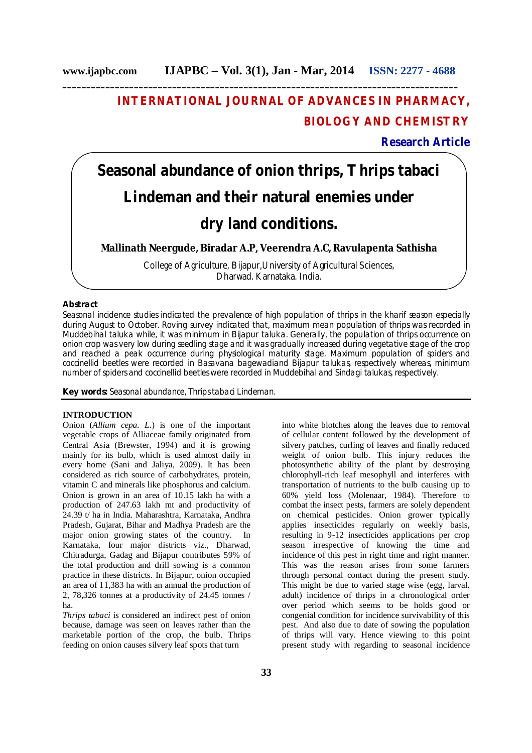# **INTERNATIONAL JOURNAL OF ADVANCES IN PHARMACY, BIOLOGY AND CHEMISTRY**

## **Research Article**

# **Seasonal abundance of onion thrips,** *Thrips tabaci* **Lindeman and their natural enemies under dry land conditions.**

**Mallinath Neergude, Biradar A.P, Veerendra A.C, Ravulapenta Sathisha**

College of Agriculture, Bijapur,University of Agricultural Sciences, Dharwad, Karnataka, India.

#### **Abstract**

Seasonal incidence studies indicated the prevalence of high population of thrips in the kharif season especially during August to October. Roving survey indicated that, maximum mean population of thrips was recorded in Muddebihal taluka while, it was minimum in Bijapur taluka. Generally, the population of thrips occurrence on onion crop was very low during seedling stage and it was gradually increased during vegetative stage of the crop and reached a peak occurrence during physiological maturity stage. Maximum population of spiders and coccinellid beetles were recorded in Basavana bagewadiand Bijapur talukas, respectively whereas, minimum number of spiders and coccinellid beetles were recorded in Muddebihal and Sindagi talukas, respectively.

**Key words:** Seasonal abundance, Thrips tabaci Lindeman.

### **INTRODUCTION**

Onion (*Allium cepa. L.*) is one of the important vegetable crops of Alliaceae family originated from Central Asia (Brewster, 1994) and it is growing mainly for its bulb, which is used almost daily in every home (Sani and Jaliya, 2009). It has been considered as rich source of carbohydrates, protein, vitamin C and minerals like phosphorus and calcium. Onion is grown in an area of 10.15 lakh ha with a production of 247.63 lakh mt and productivity of 24.39 t/ ha in India. Maharashtra, Karnataka, Andhra Pradesh, Gujarat, Bihar and Madhya Pradesh are the major onion growing states of the country. In Karnataka, four major districts viz., Dharwad, Chitradurga, Gadag and Bijapur contributes 59% of the total production and drill sowing is a common practice in these districts. In Bijapur, onion occupied an area of 11,383 ha with an annual the production of 2, 78,326 tonnes at a productivity of 24.45 tonnes / ha.

*Thrips tabaci* is considered an indirect pest of onion because, damage was seen on leaves rather than the marketable portion of the crop, the bulb. Thrips feeding on onion causes silvery leaf spots that turn

into white blotches along the leaves due to removal of cellular content followed by the development of silvery patches, curling of leaves and finally reduced weight of onion bulb. This injury reduces the photosynthetic ability of the plant by destroying chlorophyll-rich leaf mesophyll and interferes with transportation of nutrients to the bulb causing up to 60% yield loss (Molenaar, 1984). Therefore to combat the insect pests, farmers are solely dependent on chemical pesticides. Onion grower typically applies insecticides regularly on weekly basis, resulting in 9-12 insecticides applications per crop season irrespective of knowing the time and incidence of this pest in right time and right manner. This was the reason arises from some farmers through personal contact during the present study. This might be due to varied stage wise (egg, larval. adult) incidence of thrips in a chronological order over period which seems to be holds good or congenial condition for incidence survivability of this pest. And also due to date of sowing the population of thrips will vary. Hence viewing to this point present study with regarding to seasonal incidence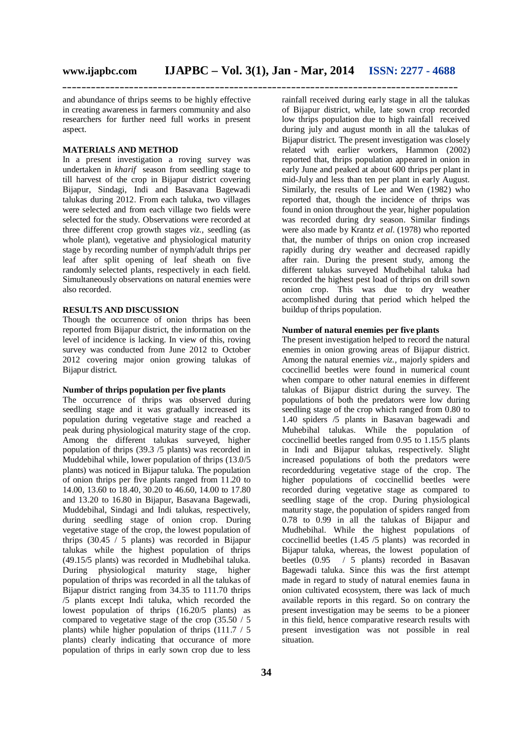and abundance of thrips seems to be highly effective in creating awareness in farmers community and also researchers for further need full works in present aspect.

#### **MATERIALS AND METHOD**

In a present investigation a roving survey was undertaken in *kharif* season from seedling stage to till harvest of the crop in Bijapur district covering Bijapur, Sindagi, Indi and Basavana Bagewadi talukas during 2012. From each taluka, two villages were selected and from each village two fields were selected for the study. Observations were recorded at three different crop growth stages *viz.,* seedling (as whole plant), vegetative and physiological maturity stage by recording number of nymph/adult thrips per leaf after split opening of leaf sheath on five randomly selected plants, respectively in each field. Simultaneously observations on natural enemies were also recorded.

#### **RESULTS AND DISCUSSION**

Though the occurrence of onion thrips has been reported from Bijapur district, the information on the level of incidence is lacking. In view of this, roving survey was conducted from June 2012 to October 2012 covering major onion growing talukas of Bijapur district.

#### **Number of thrips population per five plants**

The occurrence of thrips was observed during seedling stage and it was gradually increased its population during vegetative stage and reached a peak during physiological maturity stage of the crop. Among the different talukas surveyed, higher population of thrips (39.3 /5 plants) was recorded in Muddebihal while, lower population of thrips (13.0/5 plants) was noticed in Bijapur taluka. The population of onion thrips per five plants ranged from 11.20 to 14.00, 13.60 to 18.40, 30.20 to 46.60, 14.00 to 17.80 and 13.20 to 16.80 in Bijapur, Basavana Bagewadi, Muddebihal, Sindagi and Indi talukas, respectively, during seedling stage of onion crop. During vegetative stage of the crop, the lowest population of thrips (30.45 / 5 plants) was recorded in Bijapur talukas while the highest population of thrips (49.15/5 plants) was recorded in Mudhebihal taluka. During physiological maturity stage, higher population of thrips was recorded in all the talukas of Bijapur district ranging from 34.35 to 111.70 thrips /5 plants except Indi taluka, which recorded the lowest population of thrips (16.20/5 plants) as compared to vegetative stage of the crop (35.50 / 5 plants) while higher population of thrips (111.7 / 5 plants) clearly indicating that occurance of more population of thrips in early sown crop due to less

rainfall received during early stage in all the talukas of Bijapur district, while, late sown crop recorded low thrips population due to high rainfall received during july and august month in all the talukas of Bijapur district. The present investigation was closely related with earlier workers, Hammon (2002) reported that, thrips population appeared in onion in early June and peaked at about 600 thrips per plant in mid-July and less than ten per plant in early August. Similarly, the results of Lee and Wen (1982) who reported that, though the incidence of thrips was found in onion throughout the year, higher population was recorded during dry season. Similar findings were also made by Krantz *et al*. (1978) who reported that, the number of thrips on onion crop increased rapidly during dry weather and decreased rapidly after rain. During the present study, among the different talukas surveyed Mudhebihal taluka had recorded the highest pest load of thrips on drill sown onion crop. This was due to dry weather accomplished during that period which helped the buildup of thrips population.

#### **Number of natural enemies per five plants**

The present investigation helped to record the natural enemies in onion growing areas of Bijapur district. Among the natural enemies *viz.,* majorly spiders and coccinellid beetles were found in numerical count when compare to other natural enemies in different talukas of Bijapur district during the survey. The populations of both the predators were low during seedling stage of the crop which ranged from 0.80 to 1.40 spiders /5 plants in Basavan bagewadi and Muhebihal talukas. While the population of coccinellid beetles ranged from  $0.95$  to  $1.15/5$  plants in Indi and Bijapur talukas, respectively. Slight increased populations of both the predators were recordedduring vegetative stage of the crop. The higher populations of coccinellid beetles were recorded during vegetative stage as compared to seedling stage of the crop. During physiological maturity stage, the population of spiders ranged from 0.78 to 0.99 in all the talukas of Bijapur and Mudhebihal. While the highest populations of coccinellid beetles (1.45 /5 plants) was recorded in Bijapur taluka, whereas, the lowest population of beetles (0.95 / 5 plants) recorded in Basavan Bagewadi taluka. Since this was the first attempt made in regard to study of natural enemies fauna in onion cultivated ecosystem, there was lack of much available reports in this regard. So on contrary the present investigation may be seems to be a pioneer in this field, hence comparative research results with present investigation was not possible in real situation.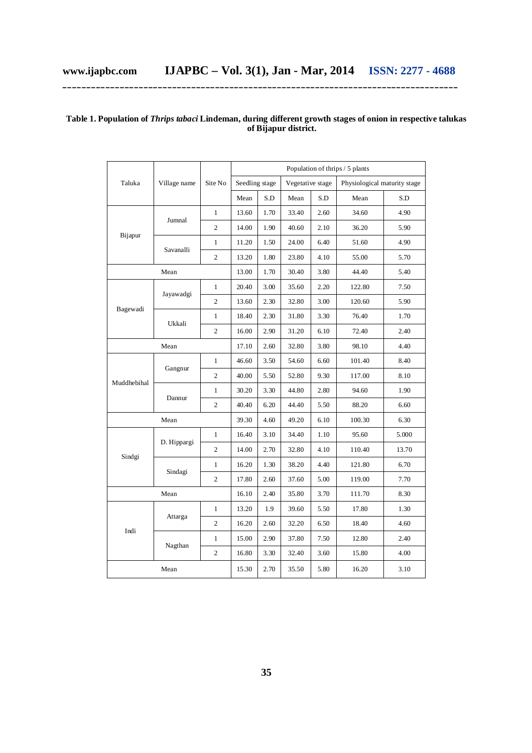#### **Table 1. Population of** *Thrips tabaci* **Lindeman, during different growth stages of onion in respective talukas of Bijapur district.**

**\_\_\_\_\_\_\_\_\_\_\_\_\_\_\_\_\_\_\_\_\_\_\_\_\_\_\_\_\_\_\_\_\_\_\_\_\_\_\_\_\_\_\_\_\_\_\_\_\_\_\_\_\_\_\_\_\_\_\_\_\_\_\_\_\_\_\_\_\_\_\_\_\_\_\_\_\_\_\_\_\_\_\_**

|             | Village name |                | Population of thrips / 5 plants |       |                  |               |                              |       |  |  |  |  |  |
|-------------|--------------|----------------|---------------------------------|-------|------------------|---------------|------------------------------|-------|--|--|--|--|--|
| Taluka      |              | Site No        | Seedling stage                  |       | Vegetative stage |               | Physiological maturity stage |       |  |  |  |  |  |
|             |              |                | Mean                            | S.D   | Mean             | S.D           | Mean                         | S.D   |  |  |  |  |  |
| Bijapur     | Jumnal       | $\mathbf{1}$   | 13.60                           | 1.70  | 33.40            | 2.60          | 34.60                        | 4.90  |  |  |  |  |  |
|             |              | $\overline{c}$ | 14.00                           | 1.90  | 40.60            | 2.10          | 36.20                        | 5.90  |  |  |  |  |  |
|             | Savanalli    | $\mathbf{1}$   | 11.20                           | 1.50  | 24.00            | 6.40          | 51.60                        | 4.90  |  |  |  |  |  |
|             |              | $\overline{c}$ | 13.20                           | 1.80  | 23.80            | 4.10          | 55.00                        | 5.70  |  |  |  |  |  |
|             | Mean         | 13.00          | 1.70                            | 30.40 | 3.80             | 44.40         | 5.40                         |       |  |  |  |  |  |
| Bagewadi    | Jayawadgi    | $\mathbf{1}$   | 20.40                           | 3.00  | 35.60            | 2.20          | 122.80                       | 7.50  |  |  |  |  |  |
|             |              | $\overline{c}$ | 13.60                           | 2.30  | 32.80            | 3.00          | 120.60                       | 5.90  |  |  |  |  |  |
|             |              | $\mathbf{1}$   | 18.40                           | 2.30  | 31.80            | 3.30          | 76.40                        | 1.70  |  |  |  |  |  |
|             | Ukkali       | $\overline{c}$ | 16.00                           | 2.90  | 31.20            | 6.10          | 72.40                        | 2.40  |  |  |  |  |  |
|             | 17.10        | 2.60           | 32.80                           | 3.80  | 98.10            | 4.40          |                              |       |  |  |  |  |  |
| Muddhebihal | Gangnur      | $\mathbf{1}$   | 46.60                           | 3.50  | 54.60            | 6.60          | 101.40                       | 8.40  |  |  |  |  |  |
|             |              | $\overline{c}$ | 40.00                           | 5.50  | 52.80            | 9.30          | 117.00                       | 8.10  |  |  |  |  |  |
|             |              | $\mathbf{1}$   | 30.20                           | 3.30  | 44.80            | 2.80          | 94.60                        | 1.90  |  |  |  |  |  |
|             | Dannur       | $\overline{c}$ | 40.40                           | 6.20  | 44.40            | 5.50          | 88.20                        | 6.60  |  |  |  |  |  |
|             | 39.30        | 4.60           | 49.20                           | 6.10  | 100.30           | 6.30          |                              |       |  |  |  |  |  |
| Sindgi      |              | $\mathbf{1}$   | 16.40                           | 3.10  | 34.40            | 1.10          | 95.60                        | 5.000 |  |  |  |  |  |
|             | D. Hippargi  | $\overline{c}$ | 14.00                           | 2.70  | 32.80            | 4.10          | 110.40                       | 13.70 |  |  |  |  |  |
|             |              | $\mathbf{1}$   | 16.20                           | 1.30  | 38.20            | 4.40          | 121.80                       | 6.70  |  |  |  |  |  |
|             | Sindagi      | $\overline{c}$ | 17.80                           | 2.60  | 37.60            | 5.00          | 119.00                       | 7.70  |  |  |  |  |  |
|             | 16.10        | 2.40           | 35.80                           | 3.70  | 111.70           | 8.30          |                              |       |  |  |  |  |  |
| Indi        | Attarga      | $\mathbf{1}$   | 13.20                           | 1.9   | 39.60            | 5.50          | 17.80                        | 1.30  |  |  |  |  |  |
|             |              | $\overline{c}$ | 16.20                           | 2.60  | 32.20            | 6.50          | 18.40                        | 4.60  |  |  |  |  |  |
|             |              | $\mathbf{1}$   | 15.00                           | 2.90  | 37.80            | 7.50          | 12.80                        | 2.40  |  |  |  |  |  |
|             | Nagthan      | 2              | 16.80                           | 3.30  | 32.40            | 3.60          | 15.80                        | 4.00  |  |  |  |  |  |
| Mean        |              |                | 15.30                           | 2.70  | 35.50            | 5.80<br>16.20 |                              | 3.10  |  |  |  |  |  |
|             |              |                |                                 |       |                  |               |                              |       |  |  |  |  |  |